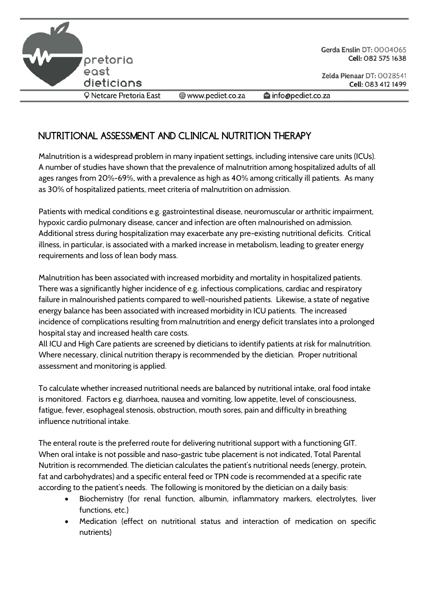

Gerda Enslin DT: 0004065 Cell: 082 575 1638

O Netcare Pretoria East

www.pediet.co.za info@pediet.co.za

## **NUTRITIONAL ASSESSMENT AND CLINICAL NUTRITION THERAPY**

Malnutrition is a widespread problem in many inpatient settings, including intensive care units (ICUs). A number of studies have shown that the prevalence of malnutrition among hospitalized adults of all ages ranges from 20%-69%, with a prevalence as high as 40% among critically ill patients. As many as 30% of hospitalized patients, meet criteria of malnutrition on admission.

Patients with medical conditions e.g. gastrointestinal disease, neuromuscular or arthritic impairment, hypoxic cardio pulmonary disease, cancer and infection are often malnourished on admission. Additional stress during hospitalization may exacerbate any pre-existing nutritional deficits. Critical illness, in particular, is associated with a marked increase in metabolism, leading to greater energy requirements and loss of lean body mass.

Malnutrition has been associated with increased morbidity and mortality in hospitalized patients. There was a significantly higher incidence of e.g. infectious complications, cardiac and respiratory failure in malnourished patients compared to well-nourished patients. Likewise, a state of negative energy balance has been associated with increased morbidity in ICU patients. The increased incidence of complications resulting from malnutrition and energy deficit translates into a prolonged hospital stay and increased health care costs.

All ICU and High Care patients are screened by dieticians to identify patients at risk for malnutrition. Where necessary, clinical nutrition therapy is recommended by the dietician. Proper nutritional assessment and monitoring is applied.

To calculate whether increased nutritional needs are balanced by nutritional intake, oral food intake is monitored. Factors e.g. diarrhoea, nausea and vomiting, low appetite, level of consciousness, fatigue, fever, esophageal stenosis, obstruction, mouth sores, pain and difficulty in breathing influence nutritional intake.

The enteral route is the preferred route for delivering nutritional support with a functioning GIT. When oral intake is not possible and naso-gastric tube placement is not indicated, Total Parental Nutrition is recommended. The dietician calculates the patient's nutritional needs (energy, protein, fat and carbohydrates) and a specific enteral feed or TPN code is recommended at a specific rate according to the patient's needs. The following is monitored by the dietician on a daily basis:

- Biochemistry (for renal function, albumin, inflammatory markers, electrolytes, liver functions, etc.)
- Medication (effect on nutritional status and interaction of medication on specific nutrients)